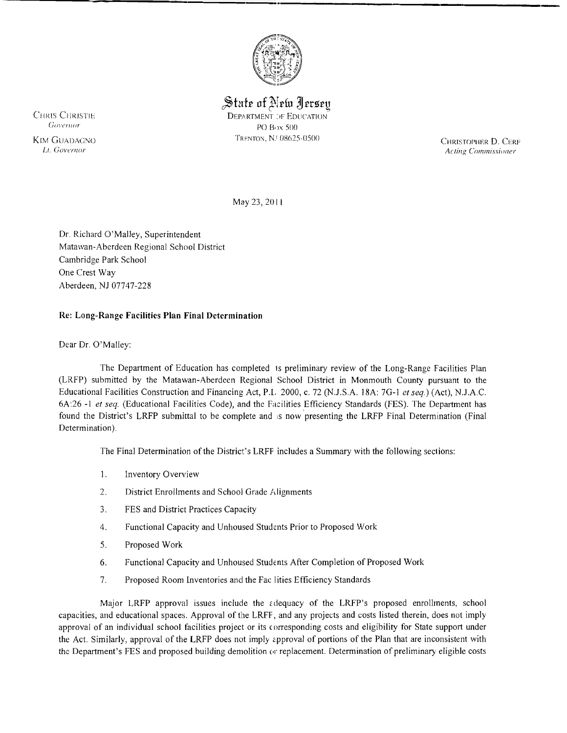

State of New Aersey CHRISTIE DEPARTMENT OF EDUCATION Governor Governor **PO B** ox 500

KIM GUADAGNO<br> *Li. Governor*<br> *Li. Governor* Acting Commissioner

May 23,20 II

Dr. Richard O'Malley, Superintendent Matawan-Aberdeen Regional School District Cambridge Park School One Crest Way Aberdeen, Nl 07747-228

# Re: Long-Range Facilities **Plan Final** Determination

Dear Dr. O'Malley:

The Department of Education has completed 1s preliminary review of the Long-Range Facilities Plan (LRFP) submitted by the Matawan-Aberdeen Regional School District in Monmouth County pursuant to the Educational Facilities Construction and Financing Act, P.L 2000, c. 72 (N.l.S.A. 18A: 7G-I *et seq.)* (Act), N.J.AC. 6A:26 -I *et seq.* (Educational Facilities Code), and the Facilities Efficiency Standards (FES). The Department has found the District's LRFP submittal to be complete and is now presenting the LRFP Final Determination (Final Determination).

The Final Determination of the District's LRFF includes a Summary with the following sections:

- 1. Inventory Overview
- 2. District Enrollments and School Grade Alignments
- 3. FES and District Practices Capacity
- 4. Functional Capacity and Unhoused Students Prior to Proposed Work
- 5. Proposed Work
- 6. Functional Capacity and Unhoused Students After Completion of Proposed Work
- 7. Proposed Room Inventories and the Fac lities Efficiency Standards

Major LRFP approval issues include the cdequacy of the LIZFP's proposed enrollments, school capacities, and educational spaces. Approval of the LRFF, and any projects and costs listed therein, does not imply approval of an individual school facilities project or its (orresponding costs and eligibility for State support under the Act. Similarly, approval of the LRFP does not imply cpproval of portions of the Plan that are inconsistent with the Department's FES and proposed building demolition (or replacement. Determination of preliminary eligible costs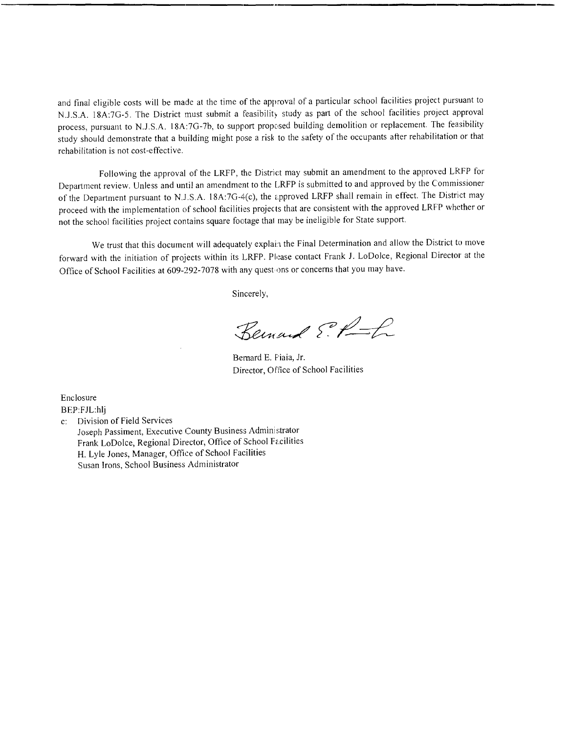and final eligible costs will be made at the time of the approval of a particular school facilities project pursuant to N.J.S.A. 18A:7G-5. The District must submit a feasibility study as part of the school facilities project approval process, pursuant to N.J.S.A. 18A:7G-7b, to support proposed building demolition or replacement. The feasibility study should demonstrate that a building might pose a risk to the safety of the occupants after rehabilitation or that rehabilitation is not cost-effective.

Following the approval of the LRFP, the District may submit an amendment to the approved LRFP for Department review. Unless and until an amendment to the LRFP is submitted to and approved by the Commissioner of the Department pursuant to N.J.S.A. 18A:7G-4(c), the approved LRFP shall remain in effect. The District may proceed with the implementation of school facilities projects that are consistent with the approved LRFP whether or not the school facilities project contains square footage thal may be ineligible for State support.

We trust that this document will adequately explain the Final Determination and allow the District to move forward with the initiation of projects within its LRFP. Please contact Frank 1. LoDolce, Regional Director at the Office of School Facilities at 609-292-7078 with any quest,ons or concerns that you may have.

Sincerely,

Bernard E.P-L

Bernard E. Piaia, Jr. Director, Office of School Facilities

Enclosure

- BEP:FJL:hlj c: Division of Field Services Joseph Passiment, Executive County Business Administrator Frank LoDolce, Regional Director, Office of School Facilities H. Lyle Jones, Manager, Office of School Facilities
	- Susan Irons, School Business Administrator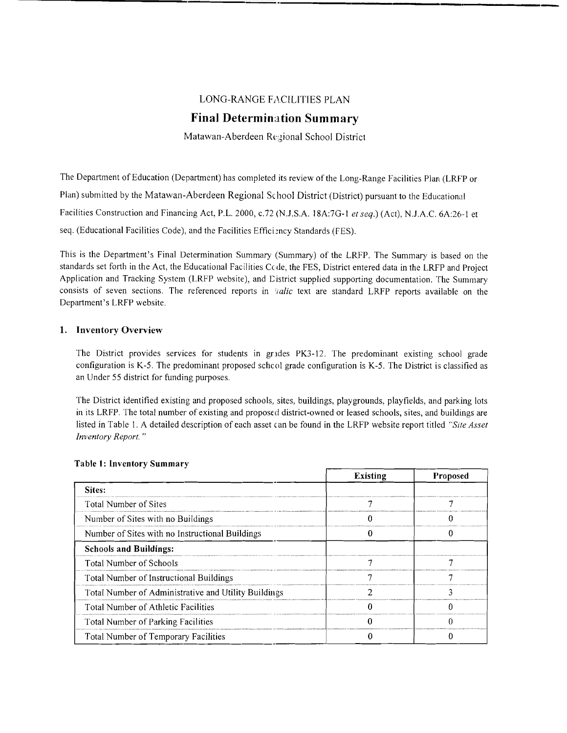# LONG-RANGE FACILITIES PLAN

# **Final Determination Summary**

Matawan-Aberdeen Regional School District

The Department of Education (Department) has completed its review of the Long-Range Facilities Plan (LRFP or Plan) submitted by the Matawan-Aberdeen Regional Sc hool District (District) pursuant to the Educational Facilities Construction and Financing Act, P.L. 2000, c.72 (N.J.S.A. 18A:7G-l *et seq.)* (Act), N.J.A.C. 6A:26-1 et seq. (Educational Facilities Code), and the Facilities Efficiency Standards (FES).

This is the Department's Final Determination Summary (Summary) of the LRFP. The Summary is based on the standards set forth in the Act, the Educational Facilities Cede, the FES, District entered data in the LRFP and Project Application and Tracking System (LRFP website), and C istrict supplied supporting documentation. The Summary consists of seven sections. The referenced reports in *;ralic* text are standard LRFP reports available on the Department's LRFP website.

# 1. Inventory Overview

The District provides services for students in grades PK3-12. The predominant existing school grade configuration is K-5. The predominant proposed scheol grade configuration is K-5. The District is classified as an Under 55 district for funding purposes.

The District identified existing and proposed schools, sites, buildings, playgrounds, playfields, and parking lots in its LRFP. The total number of existing and proposed district-owned or leased schools, sites, and buildings are listed in Table 1. A detailed description of each asset can be found in the LRFP website report titled *"Site Asset Inventory Report. "* 

|                                                      | Existing | Proposed |
|------------------------------------------------------|----------|----------|
| Sites:                                               |          |          |
| <b>Total Number of Sites</b>                         |          |          |
| Number of Sites with no Buildings                    |          |          |
| Number of Sites with no Instructional Buildings      |          |          |
| <b>Schools and Buildings:</b>                        |          |          |
| <b>Total Number of Schools</b>                       |          |          |
| Total Number of Instructional Buildings              |          |          |
| Total Number of Administrative and Utility Buildings |          |          |
| Total Number of Athletic Facilities                  |          |          |
| <b>Total Number of Parking Facilities</b>            |          |          |
| Total Number of Temporary Facilities                 |          |          |

#### Table 1: Inventory Summary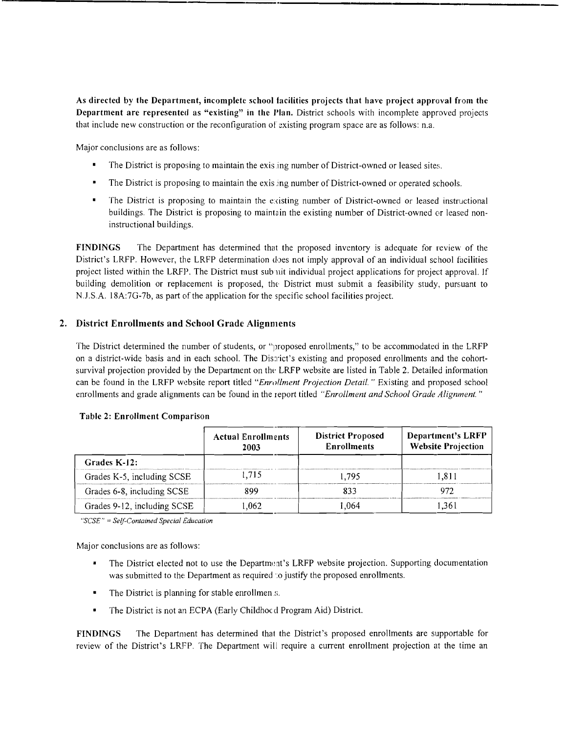As directed by the Department, incomplete school facilities projects that have project approval from the Department are represented as "existing" in the Plan. District schools with incomplete approved projects that include new construction or the reconfiguration of existing program space are as follows: n.a.

Major conclusions are as follows:

- $\blacksquare$ The District is proposing to maintain the exis ing number of District-owned or leased sites.
- $\bullet$ The District is proposing to maintain the existing number of District-owned or operated schools.
- The District is proposing to maintain the existing number of District-owned or leased instructional buildings. The District is proposing to maintain the existing number of District-owned or leased noninstructional buildings.

FINDINGS The Department has determined that the proposed inventory is adequate for review of the District's LRFP. However, the LRFP determination does not imply approval of an individual school facilities project listed within the LRFP. The District must sub nit individual project applications for project approval. If building demolition or replacement is proposed, the District must submit a feasibility study, pursuant to NJ.S.A. 18A:7G-7b, as part of the application for the specific school facilities project.

# 2. District Enrollments and School Grade Alignments

The District determined the number of students, or "proposed enrollments," to be accommodated in the LRFP on a district-wide basis and in each school. The Dispict's existing and proposed enrollments and the cohortsurvival projection provided by the Department on the LRFP website are listed in Table 2. Detailed information can be found in the LRFP website report titled "Enrollment Projection Detail." Existing and proposed school enrollments and grade alignments can be found in the report titled *"Enrollment and School Grade Alignment. "* 

|                             | <b>Actual Enrollments</b><br>2003 | <b>District Proposed</b><br><b>Enrollments</b> | <b>Department's LRFP</b><br><b>Website Projection</b> |  |
|-----------------------------|-----------------------------------|------------------------------------------------|-------------------------------------------------------|--|
| Grades K-12:                |                                   |                                                |                                                       |  |
| Grades K-5, including SCSE  | 1.715                             | .795                                           | .811                                                  |  |
| Grades 6-8, including SCSE  |                                   | 833                                            | 972                                                   |  |
| Grades 9-12, including SCSE | .062                              | .064                                           | -361                                                  |  |

#### Table 2: Enrollment Comparison

*"SCSE"* = *Self-Contained Special Education* 

Major conclusions are as follows:

- The District elected not to use the Department's LRFP website projection. Supporting documentation was submitted to the Department as required: o justify the proposed enrollments.
- $\blacksquare$  The District is planning for stable enrollmen s.
- The District is not an ECPA (Early Childhocd Program Aid) District.  $\blacksquare$

FINDINGS The Department has determined that the District's proposed enrollments are supportable for review of the District's LRFP. The Department will require a current enrollment projection at the time an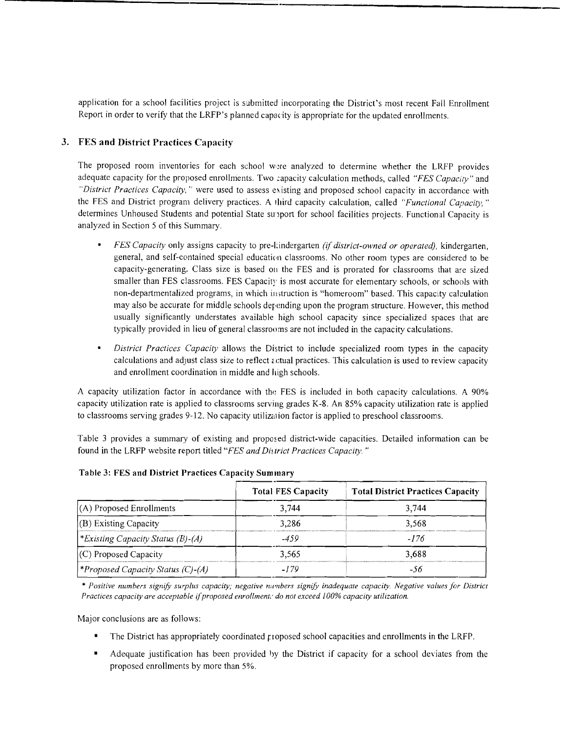application for a school facilities project is submitted incorporating the District's most recent Fall Enrollment Report in order to verify that the LRFP's planned capacity is appropriate for the updated enrollments.

# 3. FES and District Practices Capacity

The proposed room inventories for each school were analyzed to determine whether the LRFP provides adequate capacity for the proposed enrollments. Two :apacity calculation methods, called *"FES Capacity"* and "District Practices Capacity," were used to assess existing and proposed school capacity in accordance with the FES and District program delivery practices. A Ihird capacity calculation, called *"Functional Capacity, "*  determines Unhoused Students and potential State support for school facilities projects. Functional Capacity is analyzed in Section 5 of this Summary.

- *FES Capacity* only assigns capacity to pre-kindergarten *(if district-owned or operated)*, kindergarten, general, and self-contained special education classrooms. No other room types are considered to be capacity-generating. Class size is based 011 the FES and is prorated for classrooms that are sized smaller than FES classrooms. FES Capacity is most accurate for elementary schools, or schools with non-departmentalized programs, in which instruction is "homeroom" based. This capacity calculation may also be accurate for middle schools depending upon the program structure. However, this method usually significantly understates available high school capacity since specialized spaces that are typically provided in lieu of general classrooms are not included in the capacity calculations.
- *District Practices Capacity* allows the District to include specialized room types in the capacity calculations and adjust class size to reflect actual practices. This calculation is used to review capacity and enrollment coordination in middle and high schools.

A capacity utilization factor in accordance with the FES is included in both capacity calculations. A 90% capacity utilization rate is applied to classrooms serving grades K-8. An 85% capacity utilization rate is applied to classrooms serving grades 9-12. No capacity utilization factor is applied to preschool classrooms.

Table 3 provides a summary of existing and proposed district-wide capacities. Detailed information can be found in the LRFP website report titled "FES and District Practices Capacity."

|                                         | <b>Total FES Capacity</b> | <b>Total District Practices Capacity</b> |
|-----------------------------------------|---------------------------|------------------------------------------|
| $(A)$ Proposed Enrollments              | 3.744                     | 3.744                                    |
| $(B)$ Existing Capacity                 | 3.286                     | 3.568                                    |
| <i>Existing Capacity Status (B)-(A)</i> | $-459$                    | -176                                     |
| $(C)$ Proposed Capacity                 | 3.565                     | 3.688                                    |
| <i>Froposed Capacity Status (C)-(A)</i> | -170                      | -56                                      |

Table 3: FES and District Practices Capacity Summary

\* *Positive numbers signifY surplus capacity; negative tlil'llbers signifY inadequate capacity. Negative values for District Practices capacity are acceptable ijproposed enrollment:· do not exceed 100% capacity utilization.* 

Major conclusions are as follows:

- The District has appropriately coordinated proposed school capacities and enrollments in the LRFP.
- Adequate justification has been provided by the District if capacity for a school deviates from the proposed enrollments by more than 5%.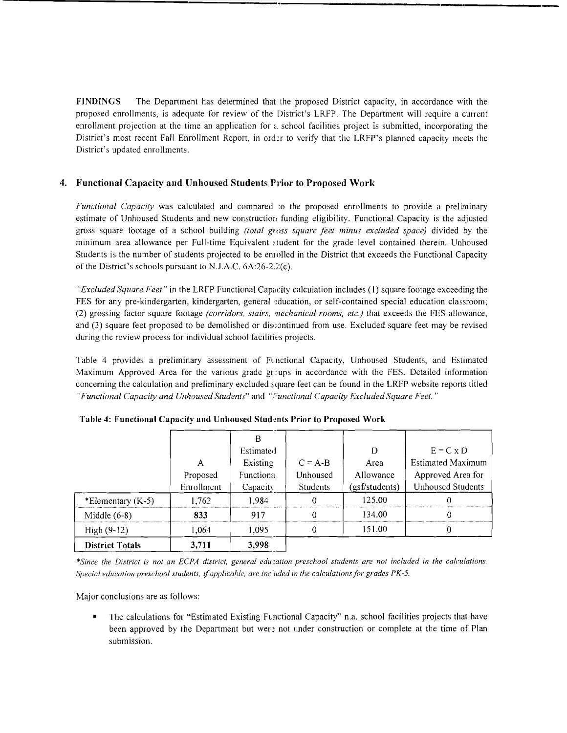**FINDINGS** The Department has detennined that the proposed District capacity, in accordance with the proposed enrollments, is adequate for review of the District's LRFP. The Department will require a current enrollment projection at the time an application for  $\kappa$  school facilities project is submitted, incorporating the District's most recent Fall Enrollment Report, in order to verify that the LRFP's planned capacity meets the District's updated enrollments.

# **4. Functional Capacity and Unhoused Students Prior to Proposed Work**

*Functional Capacity* was calculated and compared to the proposed enrollments to provide a preliminary estimate of Unhoused Students and new constructior funding eligibility. Functional Capacity is the adjusted gross square footage of a school building *(total gross square feet minus excluded space)* divided by the minimum area allowance per Full-time Equivalent student for the grade level contained therein. Unhoused Students is the number of students projected to be em oiled in the District that exceeds the Functional Capacity of the District's schools pursuant to NJ.A.C. 6A:26-2.2(c).

*'Excluded Square Feet''* in the LRFP Functional Capacity calculation includes (1) square footage exceeding the FES for any pre-kindergarten, kindergarten, general education, or self-contained special education classroom; (2) grossing factor square footage *(corridors, stairs, nechanical rooms, etc.)* that exceeds the FES allowance, and (3) square feet proposed to be demolished or discontinued from use. Excluded square feet may be revised during the review process for individual school facilities projects.

Table 4 provides a preliminary assessment of Functional Capacity, Unhoused Students, and Estimated Maximum Approved Area for the various grade gr:ups in accordance with the FES. Detailed information concerning the calculation and preliminary excluded square feet can be found in the LRFP website reports titled "Functional Capacity and Unhoused Students" and ",<sup>5</sup>unctional *Capacity Excluded Square Feet.*"

| <b>Table 4: Functional Capacity and Unhoused Students Prior to Proposed Work</b> |            |            |           |                |                          |  |
|----------------------------------------------------------------------------------|------------|------------|-----------|----------------|--------------------------|--|
|                                                                                  |            | B          |           |                |                          |  |
|                                                                                  |            | Estimated  |           | D              | $E = C \times D$         |  |
|                                                                                  | A          | Existing   | $C = A-B$ | Area           | <b>Estimated Maximum</b> |  |
|                                                                                  | Proposed   | Functiona. | Unhoused  | Allowance      | Approved Area for        |  |
|                                                                                  | Enrollment | Capacity   | Students  | (gsf/students) | <b>Unhoused Students</b> |  |
| *Elementary $(K-5)$                                                              | 1,762      | 1,984      | $\Omega$  | 125.00         | o                        |  |
| Middle $(6-8)$                                                                   | 833        | 917        | $\Omega$  | 134.00         | 0                        |  |
| High $(9-12)$                                                                    | 1,064      | 1,095      | $\Omega$  | 151.00         | $\Omega$                 |  |
| <b>District Totals</b>                                                           | 3,711      | 3,998      |           |                |                          |  |

*\*Since the District is not an ECPA district, general edu :ation preschool students are not included in the calculations. Special education preschool students, ifapplicable. are inc 'Ilded in the calculations/or grades PK-5.* 

Major conclusions are as follows:

The calculations for "Estimated Existing Functional Capacity" n.a. school facilities projects that have been approved by the Department but were not under construction or complete at the time of Plan submission.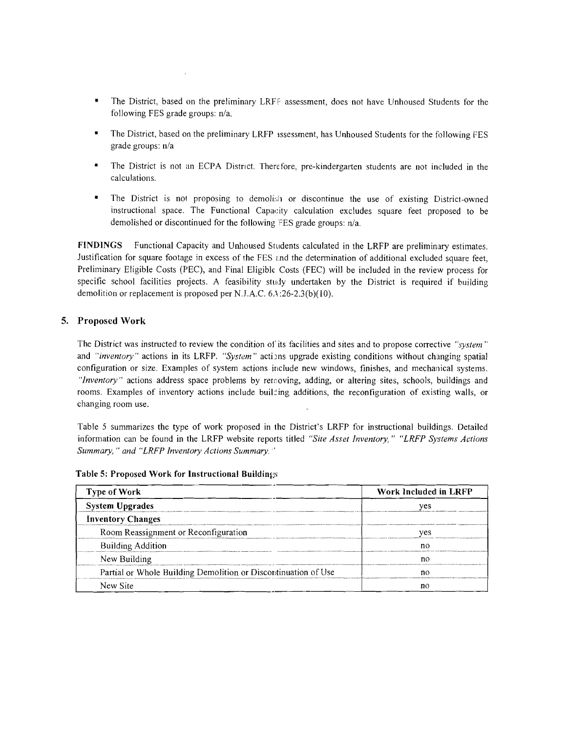- The District, based on the preliminary LRFF assessment, does not have Unhoused Students for the following FES grade groups: n/a.
- The District, based on the preliminary LRFP assessment, has Unhoused Students for the following FES grade groups: *nla*
- The District is not an ECPA District. Therefore, pre-kindergarten students are not included in the calculations.
- The District is not proposing to demolish or discontinue the use of existing District-owned instructional space. The Functional Capacity calculation excludes square feet proposed to be demolished or discontinued for the following FES grade groups:  $n/a$ .

FINDINGS Functional Capacity and Unhoused Students calculated in the LRFP are preliminary estimates. Justification for square footage in excess of rhe FES 2.nd the determination of additional excluded square feet, Preliminary Eligible Costs (PEC), and Final Eligible Costs (FEC) will be included in the review process for specific school facilities projects. A feasibility study undertaken by the District is required if building demolition or replacement is proposed per N.J.A.C.  $6A$ :  $26-2.3(b)(10)$ .

# 5. Proposed Work

The District was instructed to review the condition of its facilities and sites and to propose corrective *"system"*  and "inventory" actions in its LRFP. "System" actions upgrade existing conditions without changing spatial configuration or size. Examples of system actions include new windows, finishes, and mechanical systems. *"Inventory"* actions address space problems by removing, adding, or altering sites, schools, buildings and rooms. Examples of inventory actions include building additions, the reconfiguration of existing walls, or changing room use.

Table 5 summarizes the type of work proposed in the District's LRPP for instructional buildings. Detailed information can be found in the LRPP website reports titled *"Site Asset Inventory," "LRFP Systems Actions Summary," and "LRFP Inventory Actions Summary.'* 

| <b>Type of Work</b>                                            | Work Included in LRFP |  |  |
|----------------------------------------------------------------|-----------------------|--|--|
| <b>System Upgrades</b>                                         | ves                   |  |  |
| <b>Inventory Changes</b>                                       |                       |  |  |
| Room Reassignment or Reconfiguration                           | ves                   |  |  |
| <b>Building Addition</b>                                       | nດ                    |  |  |
| New Building                                                   | nc                    |  |  |
| Partial or Whole Building Demolition or Discontinuation of Use | nc                    |  |  |
| New Site                                                       |                       |  |  |

Table 5: Proposed Work for Instructional Buildings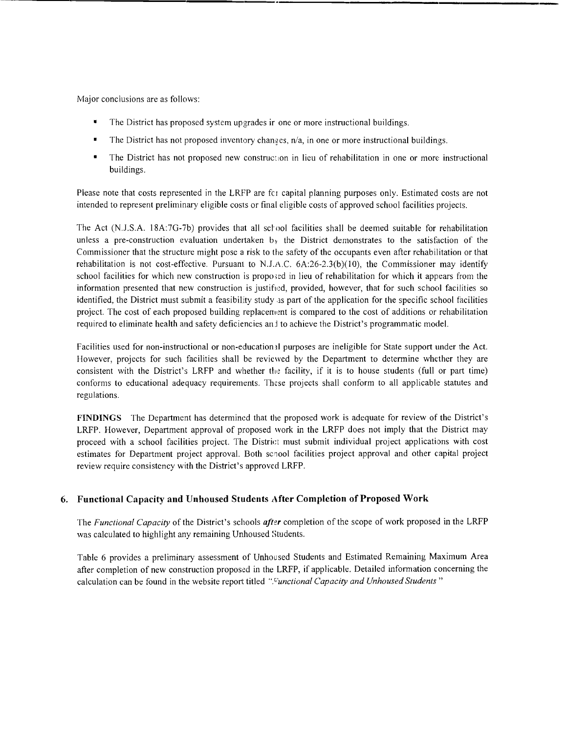Major conclusions are as follows:

- The District has proposed system upgrades ir one or more instructional buildings.
- The District has not proposed inventory changes,  $n/a$ , in one or more instructional buildings.
- The District has not proposed new construction in lieu of rehabilitation in one or more instructional buildings.

Please note that costs represented in the LRFP are fer capital planning purposes only. Estimated costs are not intended to represent preliminary eligible costs or final eligible costs of approved school facilities projects.

The Act (N.J.S.A. 18A:7G-7b) provides that all scl-ool facilities shall be deemed suitable for rehabilitation unless a pre-construction evaluation undertaken  $b<sub>y</sub>$  the District demonstrates to the satisfaction of the Commissioner that the structure might pose a risk to the safety of the occupants even after rehabilitation or that rehabilitation is not cost-effective. Pursuant to N.J.A.C.  $6A:26-2.3(b)(10)$ , the Commissioner may identify school facilities for which new construction is proposed in lieu of rehabilitation for which it appears from the information presented that new construction is justified, provided, however, that for such school facilities so identified, the District must submit a feasibility study as part of the application for the specific school facilities project. The cost of each proposed building replacement is compared to the cost of additions or rehabilitation required to eliminate health and safety deficiencies and to achieve the District's programmatic model.

Facilities used for non-instructional or non-educational purposes are ineligible for State support under the Act. However, projects for such facilities shall be reviewed by the Department to detennine whether they are consistent with the District's LRFP and whether the facility, if it is to house students (full or part time) conforms to educational adequacy requirements. These projects shall conform to all applicable statutes and regulations.

**FINDINGS** The Department has determined that the proposed work is adequate for review of the District's LRFP. However, Department approval of proposed work in the LRFP does not imply that the District may proceed with a school facilities project. The District must submit individual project applications with cost estimates for Department project approval. Both scnool facilities project approval and other capital project review require consistency with the District's approved LRFP.

#### **6. Functional Capacity and Unhoused Students After Completion** of Proposed **Work**

The *Functional Capacity* of the District's schools *after* completion of the scope of work proposed in the LRFP was calculated to highlight any remaining Unhoused Students.

Table 6 provides a preliminary assessment of Unhoused Students and Estimated Remaining Maximum Area after completion of new construction proposed in the LRFP, if applicable. Detailed infonnation concerning the calculation can be found in the website report titled ".<sup>*r*</sup>unctional Capacity and Unhoused Students"